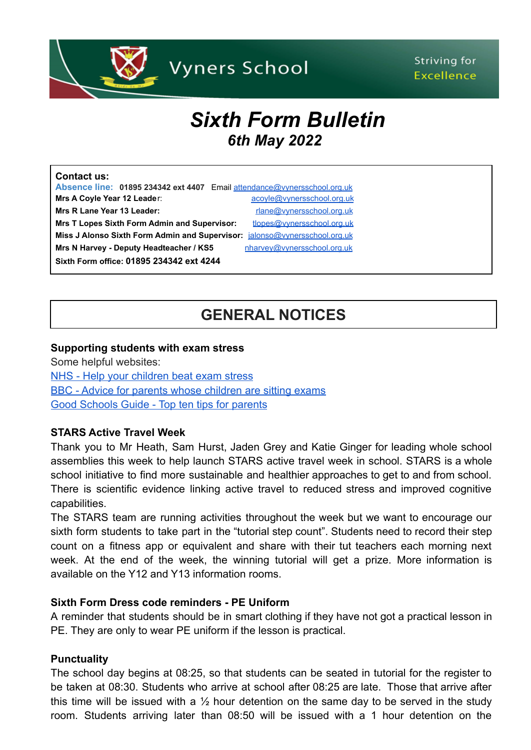

## Striving for **Excellence**

# *Sixth Form Bulletin 6th May 2022*

| <b>Contact us:</b>                                                       |                             |
|--------------------------------------------------------------------------|-----------------------------|
| Absence line: 01895 234342 ext 4407 Email attendance@vynersschool.org.uk |                             |
| Mrs A Coyle Year 12 Leader:                                              | acoyle@vynersschool.org.uk  |
| Mrs R Lane Year 13 Leader:                                               | rlane@vynersschool.org.uk   |
| <b>Mrs T Lopes Sixth Form Admin and Supervisor:</b>                      | tlopes@vynersschool.org.uk  |
| Miss J Alonso Sixth Form Admin and Supervisor:                           | jalonso@vynersschool.org.uk |
| Mrs N Harvey - Deputy Headteacher / KS5                                  | nharvey@vynersschool.org.uk |
| Sixth Form office: 01895 234342 ext 4244                                 |                             |

## **GENERAL NOTICES**

#### **Supporting students with exam stress**

Some helpful websites: [NHS - Help your children beat exam stress](https://www.nhs.uk/mental-health/children-and-young-adults/advice-for-parents/help-your-child-beat-exam-stress/) [BBC - Advice for parents whose children are sitting exams](https://www.bbc.co.uk/programmes/articles/2Qf86MGyCkHlTq4h1tWfknn/advice-for-parents-whose-children-are-sitting-exam) [Good Schools Guide - Top ten tips for parents](https://www.goodschoolsguide.co.uk/curricula-and-exams/revision-top-ten-tips-for-parents)

#### **STARS Active Travel Week**

Thank you to Mr Heath, Sam Hurst, Jaden Grey and Katie Ginger for leading whole school assemblies this week to help launch STARS active travel week in school. STARS is a whole school initiative to find more sustainable and healthier approaches to get to and from school. There is scientific evidence linking active travel to reduced stress and improved cognitive capabilities.

The STARS team are running activities throughout the week but we want to encourage our sixth form students to take part in the "tutorial step count". Students need to record their step count on a fitness app or equivalent and share with their tut teachers each morning next week. At the end of the week, the winning tutorial will get a prize. More information is available on the Y12 and Y13 information rooms.

#### **Sixth Form Dress code reminders - PE Uniform**

A reminder that students should be in smart clothing if they have not got a practical lesson in PE. They are only to wear PE uniform if the lesson is practical.

#### **Punctuality**

The school day begins at 08:25, so that students can be seated in tutorial for the register to be taken at 08:30. Students who arrive at school after 08:25 are late. Those that arrive after this time will be issued with a  $\frac{1}{2}$  hour detention on the same day to be served in the study room. Students arriving later than 08:50 will be issued with a 1 hour detention on the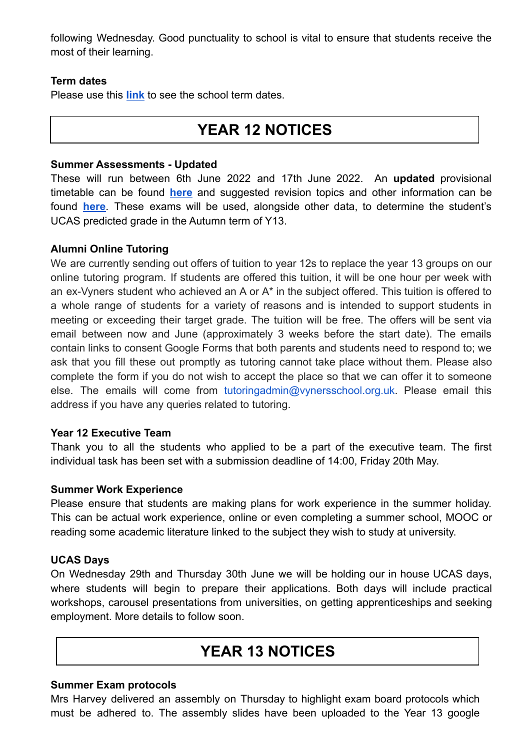following Wednesday. Good punctuality to school is vital to ensure that students receive the most of their learning.

## **Term dates**

Please use this **[link](https://www.vynersschool.org.uk/page/?title=Term+Dates&pid=79)** to see the school term dates.

## **YEAR 12 NOTICES**

#### **Summer Assessments - Updated**

These will run between 6th June 2022 and 17th June 2022. An **updated** provisional timetable can be found **[here](https://www.vynersschool.org.uk/_site/data/files/users/91/files/9812781C18E0FC28C187CC1A7ED30E78.pdf)** and suggested revision topics and other information can be found **[here](https://www.vynersschool.org.uk/_site/data/files/users/91/files/20408836C34454E9CF2F7E5C8A7A28D5.pdf)**. These exams will be used, alongside other data, to determine the student's UCAS predicted grade in the Autumn term of Y13.

## **Alumni Online Tutoring**

We are currently sending out offers of tuition to year 12s to replace the year 13 groups on our online tutoring program. If students are offered this tuition, it will be one hour per week with an ex-Vyners student who achieved an A or A\* in the subject offered. This tuition is offered to a whole range of students for a variety of reasons and is intended to support students in meeting or exceeding their target grade. The tuition will be free. The offers will be sent via email between now and June (approximately 3 weeks before the start date). The emails contain links to consent Google Forms that both parents and students need to respond to; we ask that you fill these out promptly as tutoring cannot take place without them. Please also complete the form if you do not wish to accept the place so that we can offer it to someone else. The emails will come from tutoringadmin@vynersschool.org.uk. Please email this address if you have any queries related to tutoring.

#### **Year 12 Executive Team**

Thank you to all the students who applied to be a part of the executive team. The first individual task has been set with a submission deadline of 14:00, Friday 20th May.

#### **Summer Work Experience**

Please ensure that students are making plans for work experience in the summer holiday. This can be actual work experience, online or even completing a summer school, MOOC or reading some academic literature linked to the subject they wish to study at university.

## **UCAS Days**

On Wednesday 29th and Thursday 30th June we will be holding our in house UCAS days, where students will begin to prepare their applications. Both days will include practical workshops, carousel presentations from universities, on getting apprenticeships and seeking employment. More details to follow soon.

## **YEAR 13 NOTICES**

#### **Summer Exam protocols**

Mrs Harvey delivered an assembly on Thursday to highlight exam board protocols which must be adhered to. The assembly slides have been uploaded to the Year 13 google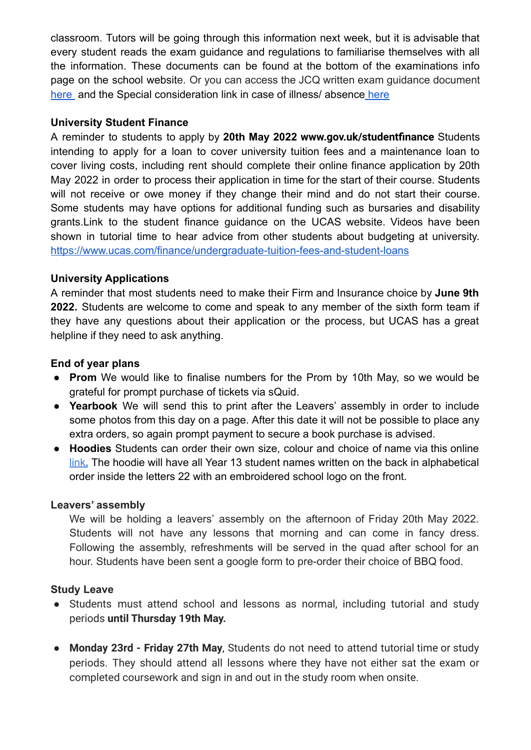classroom. Tutors will be going through this information next week, but it is advisable that every student reads the exam guidance and regulations to familiarise themselves with all the information. These documents can be found at the bottom of the examinations info page on the school website. Or you can access the JCQ written exam guidance document [here](https://www.vynersschool.org.uk/attachments/download.asp?file=3978&type=pdf) and the Special consideration link in case of illness/ absence [here](https://www.vynersschool.org.uk/attachments/download.asp?file=3998&type=pdf)

#### **University Student Finance**

A reminder to students to apply by **20th May 2022 [www.gov.uk/studentfinance](https://www.gov.uk/studentfinance)** Students intending to apply for a loan to cover university tuition fees and a maintenance loan to cover living costs, including rent should complete their online finance application by 20th May 2022 in order to process their application in time for the start of their course. Students will not receive or owe money if they change their mind and do not start their course. Some students may have options for additional funding such as bursaries and disability grants.Link to the student finance guidance on the UCAS website. Videos have been shown in tutorial time to hear advice from other students about budgeting at university. <https://www.ucas.com/finance/undergraduate-tuition-fees-and-student-loans>

## **University Applications**

A reminder that most students need to make their Firm and Insurance choice by **June 9th 2022.** Students are welcome to come and speak to any member of the sixth form team if they have any questions about their application or the process, but UCAS has a great helpline if they need to ask anything.

## **End of year plans**

- **Prom** We would like to finalise numbers for the Prom by 10th May, so we would be grateful for prompt purchase of tickets via sQuid.
- **Yearbook** We will send this to print after the Leavers' assembly in order to include some photos from this day on a page. After this date it will not be possible to place any extra orders, so again prompt payment to secure a book purchase is advised.
- **Hoodies** Students can order their own size, colour and choice of name via this online [link](https://moxieleavers.co.uk/hoodie/7Q4VAt9DZxsRIefyB4Qk/89e68e3ac7af8e802ba11d57)**.** The hoodie will have all Year 13 student names written on the back in alphabetical order inside the letters 22 with an embroidered school logo on the front.

#### **Leavers' assembly**

We will be holding a leavers' assembly on the afternoon of Friday 20th May 2022. Students will not have any lessons that morning and can come in fancy dress. Following the assembly, refreshments will be served in the quad after school for an hour. Students have been sent a google form to pre-order their choice of BBQ food.

## **Study Leave**

- Students must attend school and lessons as normal, including tutorial and study periods **until Thursday 19th May.**
- **Monday 23rd - Friday 27th May**, Students do not need to attend tutorial time or study periods. They should attend all lessons where they have not either sat the exam or completed coursework and sign in and out in the study room when onsite.